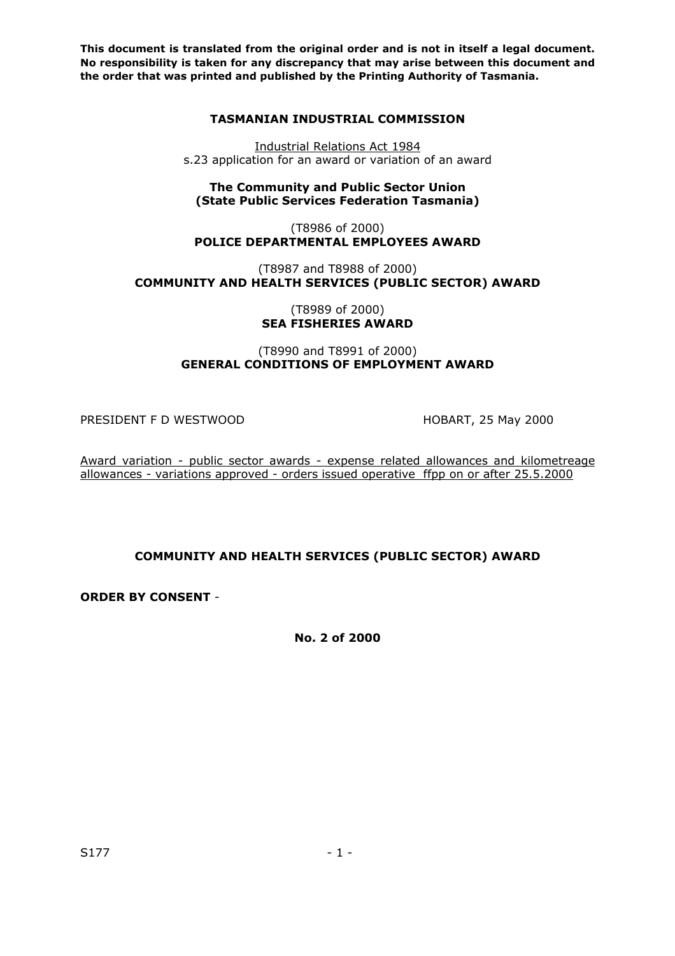## **TASMANIAN INDUSTRIAL COMMISSION**

Industrial Relations Act 1984 s.23 application for an award or variation of an award

**The Community and Public Sector Union (State Public Services Federation Tasmania)**

(T8986 of 2000) **POLICE DEPARTMENTAL EMPLOYEES AWARD**

(T8987 and T8988 of 2000) **COMMUNITY AND HEALTH SERVICES (PUBLIC SECTOR) AWARD** 

> (T8989 of 2000) **SEA FISHERIES AWARD**

(T8990 and T8991 of 2000) **GENERAL CONDITIONS OF EMPLOYMENT AWARD**

PRESIDENT F D WESTWOOD HOBART, 25 May 2000

Award variation - public sector awards - expense related allowances and kilometreage allowances - variations approved - orders issued operative ffpp on or after 25.5.2000

**COMMUNITY AND HEALTH SERVICES (PUBLIC SECTOR) AWARD**

**ORDER BY CONSENT** -

**No. 2 of 2000**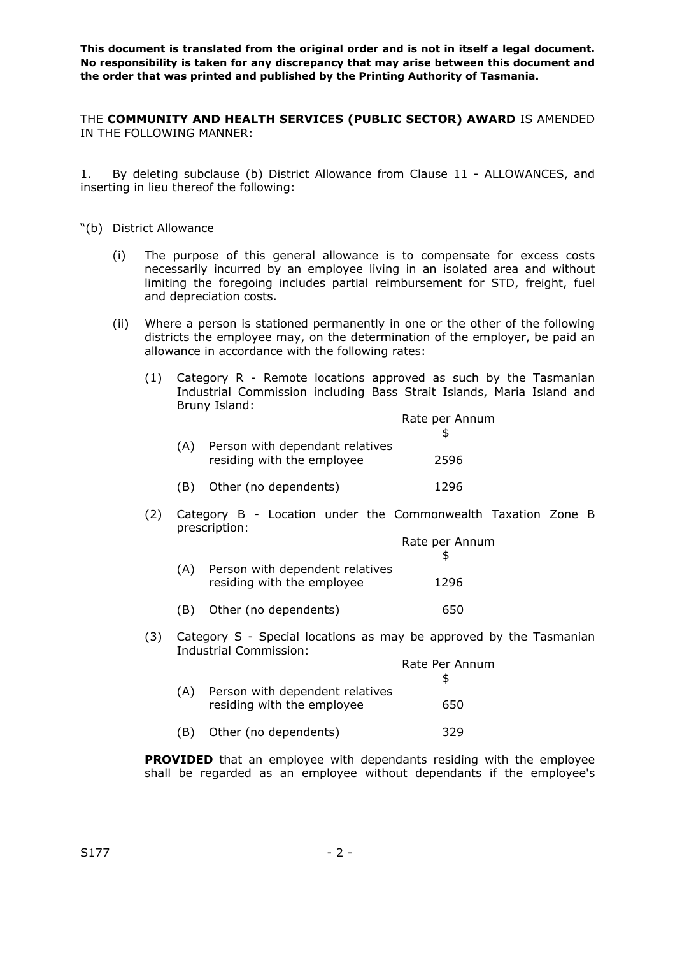THE **COMMUNITY AND HEALTH SERVICES (PUBLIC SECTOR) AWARD** IS AMENDED IN THE FOLLOWING MANNER:

1. By deleting subclause (b) District Allowance from Clause 11 - ALLOWANCES, and inserting in lieu thereof the following:

- "(b) District Allowance
	- (i) The purpose of this general allowance is to compensate for excess costs necessarily incurred by an employee living in an isolated area and without limiting the foregoing includes partial reimbursement for STD, freight, fuel and depreciation costs.
	- (ii) Where a person is stationed permanently in one or the other of the following districts the employee may, on the determination of the employer, be paid an allowance in accordance with the following rates:
		- (1) Category R Remote locations approved as such by the Tasmanian Industrial Commission including Bass Strait Islands, Maria Island and Bruny Island:

|                                                               | Rate per Annum |
|---------------------------------------------------------------|----------------|
| Person with dependant relatives<br>residing with the employee | 2596           |
| Other (no dependents)                                         | 1296           |

(2) Category B - Location under the Commonwealth Taxation Zone B prescription:

|     |                                                               | Rate per Annum |
|-----|---------------------------------------------------------------|----------------|
| (A) | Person with dependent relatives<br>residing with the employee | 1296           |
| (B) | Other (no dependents)                                         | 650            |

(3) Category S - Special locations as may be approved by the Tasmanian Industrial Commission:

|     |                                                               | Rate Per Annum |
|-----|---------------------------------------------------------------|----------------|
| (A) | Person with dependent relatives<br>residing with the employee | 650            |
| (B) | Other (no dependents)                                         | 329            |

**PROVIDED** that an employee with dependants residing with the employee shall be regarded as an employee without dependants if the employee's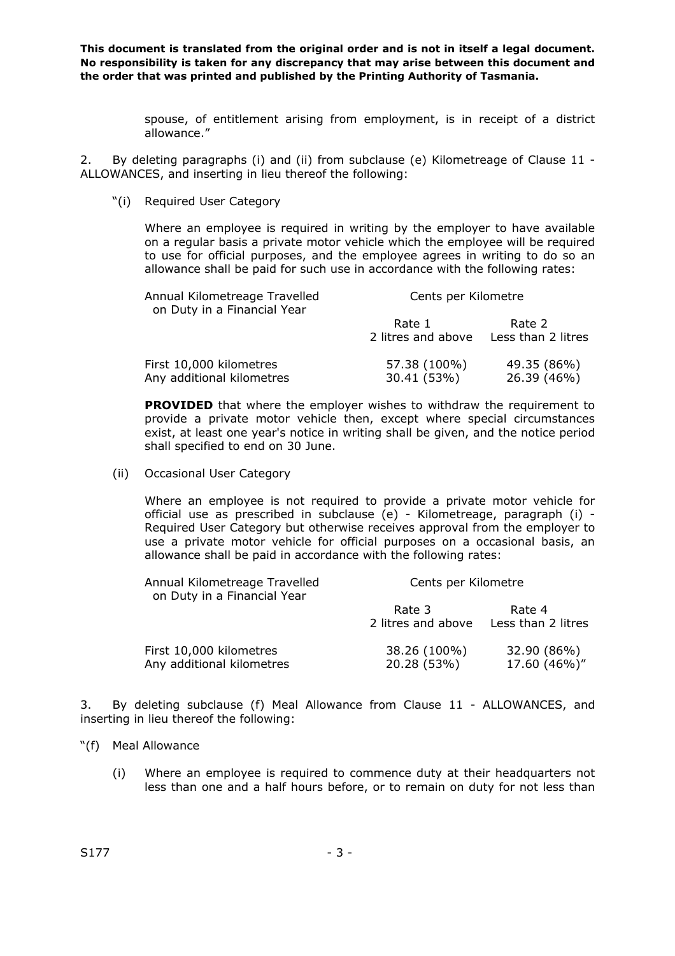> spouse, of entitlement arising from employment, is in receipt of a district allowance."

2. By deleting paragraphs (i) and (ii) from subclause (e) Kilometreage of Clause 11 - ALLOWANCES, and inserting in lieu thereof the following:

"(i) Required User Category

Where an employee is required in writing by the employer to have available on a regular basis a private motor vehicle which the employee will be required to use for official purposes, and the employee agrees in writing to do so an allowance shall be paid for such use in accordance with the following rates:

| Annual Kilometreage Travelled<br>on Duty in a Financial Year | Cents per Kilometre          |                              |  |
|--------------------------------------------------------------|------------------------------|------------------------------|--|
|                                                              | Rate 1<br>2 litres and above | Rate 2<br>Less than 2 litres |  |
| First 10,000 kilometres<br>Any additional kilometres         | 57.38 (100%)<br>30.41 (53%)  | 49.35 (86%)<br>26.39 (46%)   |  |

**PROVIDED** that where the employer wishes to withdraw the requirement to provide a private motor vehicle then, except where special circumstances exist, at least one year's notice in writing shall be given, and the notice period shall specified to end on 30 June.

(ii) Occasional User Category

Where an employee is not required to provide a private motor vehicle for official use as prescribed in subclause (e) - Kilometreage, paragraph (i) - Required User Category but otherwise receives approval from the employer to use a private motor vehicle for official purposes on a occasional basis, an allowance shall be paid in accordance with the following rates:

| Annual Kilometreage Travelled<br>on Duty in a Financial Year | Cents per Kilometre          |                              |  |
|--------------------------------------------------------------|------------------------------|------------------------------|--|
|                                                              | Rate 3<br>2 litres and above | Rate 4<br>Less than 2 litres |  |
| First 10,000 kilometres<br>Any additional kilometres         | 38.26 (100%)<br>20.28 (53%)  | 32.90 (86%)<br>17.60 (46%)"  |  |

3. By deleting subclause (f) Meal Allowance from Clause 11 - ALLOWANCES, and inserting in lieu thereof the following:

- "(f) Meal Allowance
	- (i) Where an employee is required to commence duty at their headquarters not less than one and a half hours before, or to remain on duty for not less than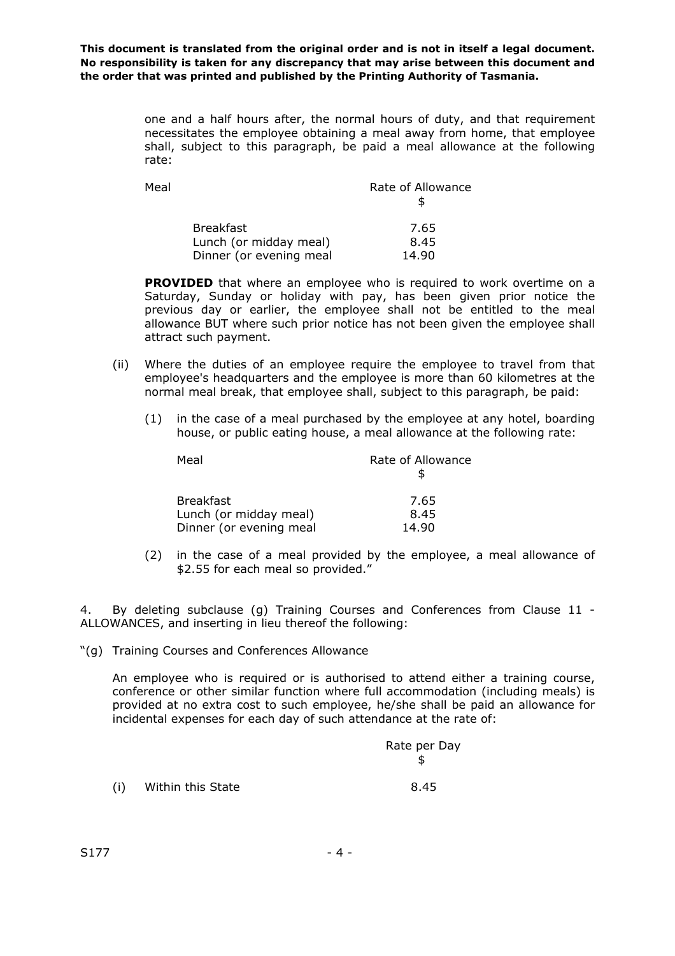> one and a half hours after, the normal hours of duty, and that requirement necessitates the employee obtaining a meal away from home, that employee shall, subject to this paragraph, be paid a meal allowance at the following rate:

| Meal |                         | Rate of Allowance |
|------|-------------------------|-------------------|
|      | <b>Breakfast</b>        | 7.65              |
|      | Lunch (or midday meal)  | 8.45              |
|      | Dinner (or evening meal | 14.90             |

**PROVIDED** that where an employee who is required to work overtime on a Saturday, Sunday or holiday with pay, has been given prior notice the previous day or earlier, the employee shall not be entitled to the meal allowance BUT where such prior notice has not been given the employee shall attract such payment.

- (ii) Where the duties of an employee require the employee to travel from that employee's headquarters and the employee is more than 60 kilometres at the normal meal break, that employee shall, subject to this paragraph, be paid:
	- (1) in the case of a meal purchased by the employee at any hotel, boarding house, or public eating house, a meal allowance at the following rate:

| Meal                    | Rate of Allowance |
|-------------------------|-------------------|
| <b>Breakfast</b>        | 7.65              |
| Lunch (or midday meal)  | 8.45              |
| Dinner (or evening meal | 14.90             |

(2) in the case of a meal provided by the employee, a meal allowance of \$2.55 for each meal so provided."

4. By deleting subclause (g) Training Courses and Conferences from Clause 11 - ALLOWANCES, and inserting in lieu thereof the following:

"(g) Training Courses and Conferences Allowance

An employee who is required or is authorised to attend either a training course, conference or other similar function where full accommodation (including meals) is provided at no extra cost to such employee, he/she shall be paid an allowance for incidental expenses for each day of such attendance at the rate of:

|     |                   | Rate per Day |
|-----|-------------------|--------------|
| (i) | Within this State | 8.45         |

 $(i)$  Within this State

 $S177$  - 4 -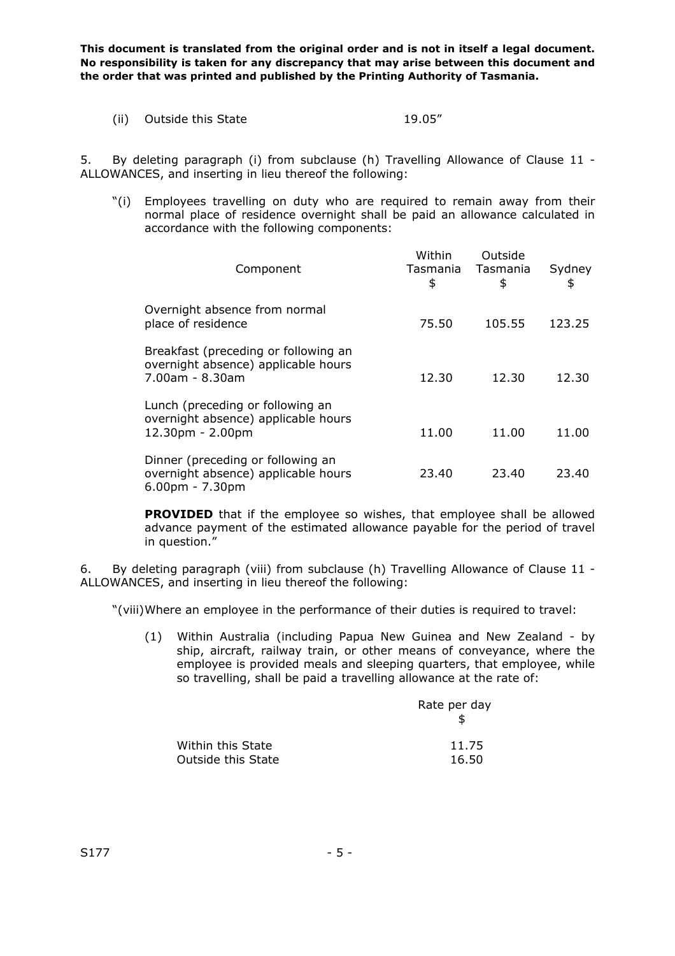(ii) Outside this State 19.05"

5. By deleting paragraph (i) from subclause (h) Travelling Allowance of Clause 11 - ALLOWANCES, and inserting in lieu thereof the following:

"(i) Employees travelling on duty who are required to remain away from their normal place of residence overnight shall be paid an allowance calculated in accordance with the following components:

| Component                                                                                      | Within<br>Tasmania<br>\$ | Outside<br>Tasmania<br>\$ | Sydney<br>\$ |
|------------------------------------------------------------------------------------------------|--------------------------|---------------------------|--------------|
| Overnight absence from normal<br>place of residence                                            | 75.50                    | 105.55                    | 123.25       |
| Breakfast (preceding or following an<br>overnight absence) applicable hours<br>7.00am - 8.30am | 12.30                    | 12.30                     | 12.30        |
| Lunch (preceding or following an<br>overnight absence) applicable hours<br>12.30pm - 2.00pm    | 11.00                    | 11.00                     | 11.00        |
| Dinner (preceding or following an<br>overnight absence) applicable hours<br>$6.00pm - 7.30pm$  | 23.40                    | 23.40                     | 23.40        |

**PROVIDED** that if the employee so wishes, that employee shall be allowed advance payment of the estimated allowance payable for the period of travel in question."

6. By deleting paragraph (viii) from subclause (h) Travelling Allowance of Clause 11 - ALLOWANCES, and inserting in lieu thereof the following:

"(viii)Where an employee in the performance of their duties is required to travel:

(1) Within Australia (including Papua New Guinea and New Zealand - by ship, aircraft, railway train, or other means of conveyance, where the employee is provided meals and sleeping quarters, that employee, while so travelling, shall be paid a travelling allowance at the rate of:

|                           | Rate per day |
|---------------------------|--------------|
| Within this State         | 11.75        |
| <b>Outside this State</b> | 16.50        |